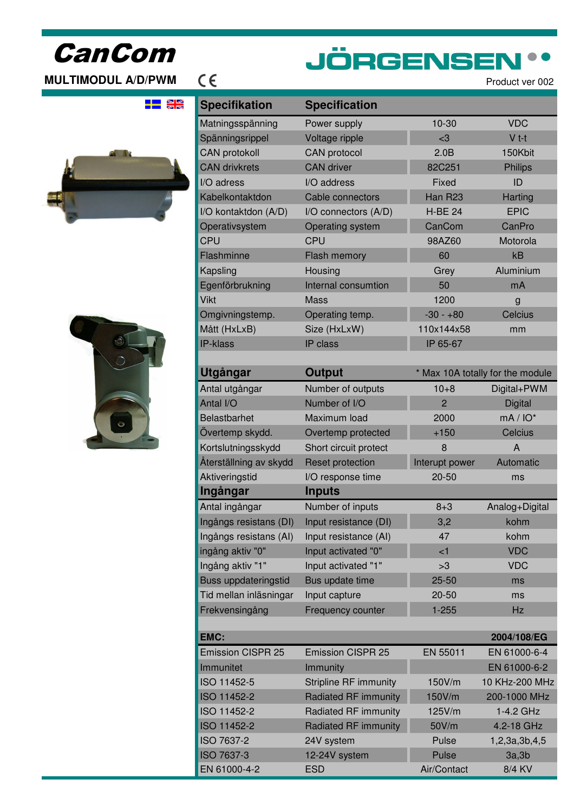# CanCom

## **MULTIMODUL A/D/PWM**  $\in$

# **JÖRGENSEN**

누는 원적





| <b>Specifikation</b>        | <b>Specification</b>         |                     |                                  |
|-----------------------------|------------------------------|---------------------|----------------------------------|
| Matningsspänning            | Power supply                 | 10-30               | <b>VDC</b>                       |
| Spänningsrippel             | Voltage ripple               | $3$                 | $V$ t-t                          |
| <b>CAN protokoll</b>        | CAN protocol                 | 2.0B                | 150Kbit                          |
| <b>CAN drivkrets</b>        | <b>CAN</b> driver            | 82C251              | <b>Philips</b>                   |
| I/O adress                  | I/O address                  | Fixed               | ID                               |
| Kabelkontaktdon             | Cable connectors             | Han R <sub>23</sub> | <b>Harting</b>                   |
| I/O kontaktdon (A/D)        | I/O connectors (A/D)         | <b>H-BE 24</b>      | <b>EPIC</b>                      |
| Operativsystem              | Operating system             | CanCom              | CanPro                           |
| <b>CPU</b>                  | <b>CPU</b>                   | 98AZ60              | Motorola                         |
| Flashminne                  | <b>Flash memory</b>          | 60                  | kB                               |
| Kapsling                    | Housing                      | Grey                | Aluminium                        |
| Egenförbrukning             | Internal consumtion          | 50                  | mA                               |
| Vikt                        | <b>Mass</b>                  | 1200                | g                                |
| Omgivningstemp.             | Operating temp.              | $-30 - +80$         | <b>Celcius</b>                   |
| Mått (HxLxB)                | Size (HxLxW)                 | 110x144x58          | mm                               |
| <b>IP-klass</b>             | IP class                     | IP 65-67            |                                  |
|                             |                              |                     |                                  |
| Utgångar                    | <b>Output</b>                |                     | * Max 10A totally for the module |
| Antal utgångar              | Number of outputs            | $10 + 8$            | Digital+PWM                      |
| Antal I/O                   | Number of I/O                | $\overline{2}$      | <b>Digital</b>                   |
| <b>Belastbarhet</b>         | Maximum load                 | 2000                | $mA/IO^*$                        |
| Övertemp skydd.             | Overtemp protected           | $+150$              | Celcius                          |
| Kortslutningsskydd          | Short circuit protect        | 8                   | A                                |
| Återställning av skydd      | Reset protection             | Interupt power      | Automatic                        |
| Aktiveringstid              | I/O response time            | $20 - 50$           | ms                               |
| Ingångar                    | <b>Inputs</b>                |                     |                                  |
| Antal ingångar              | Number of inputs             | $8 + 3$             | Analog+Digital                   |
| Ingångs resistans (DI)      | Input resistance (DI)        | 3,2                 | kohm                             |
| Ingångs resistans (AI)      | Input resistance (AI)        | 47                  | kohm                             |
| ingång aktiv "0"            | Input activated "0"          | $\leq$ 1            | <b>VDC</b>                       |
| Ingång aktiv "1"            | Input activated "1"          | >3                  | <b>VDC</b>                       |
| <b>Buss uppdateringstid</b> | Bus update time              | $25 - 50$           | ms                               |
| Tid mellan inläsningar      | Input capture                | $20 - 50$           | ms                               |
| Frekvensingång              | Frequency counter            | $1 - 255$           | <b>Hz</b>                        |
| <b>EMC:</b>                 |                              |                     | 2004/108/EG                      |
| <b>Emission CISPR 25</b>    | <b>Emission CISPR 25</b>     | EN 55011            | EN 61000-6-4                     |
| Immunitet                   | Immunity                     |                     | EN 61000-6-2                     |
| ISO 11452-5                 | <b>Stripline RF immunity</b> | 150V/m              | 10 KHz-200 MHz                   |
| ISO 11452-2                 | Radiated RF immunity         | 150V/m              | 200-1000 MHz                     |
| ISO 11452-2                 | Radiated RF immunity         | 125V/m              | 1-4.2 GHz                        |
| ISO 11452-2                 | Radiated RF immunity         | 50V/m               | 4.2-18 GHz                       |
| ISO 7637-2                  | 24V system                   | Pulse               | 1,2,3a,3b,4,5                    |
| ISO 7637-3                  | 12-24V system                | Pulse               | 3a,3b                            |
| EN 61000-4-2                | <b>ESD</b>                   | Air/Contact         | 8/4 KV                           |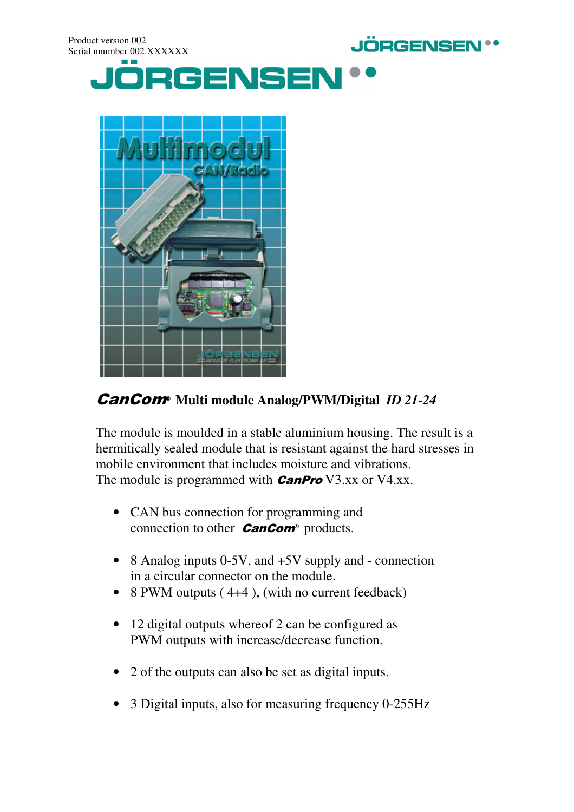



CanCom® **Multi module Analog/PWM/Digital** *ID 21-24*

The module is moulded in a stable aluminium housing. The result is a hermitically sealed module that is resistant against the hard stresses in mobile environment that includes moisture and vibrations. The module is programmed with  $\mathit{CanPro}$  V3.xx or V4.xx.

- CAN bus connection for programming and connection to other  $Cancom<sup>°</sup>$  products.
- 8 Analog inputs 0-5V, and +5V supply and connection in a circular connector on the module.
- 8 PWM outputs (4+4), (with no current feedback)
- 12 digital outputs whereof 2 can be configured as PWM outputs with increase/decrease function.
- 2 of the outputs can also be set as digital inputs.
- 3 Digital inputs, also for measuring frequency 0-255Hz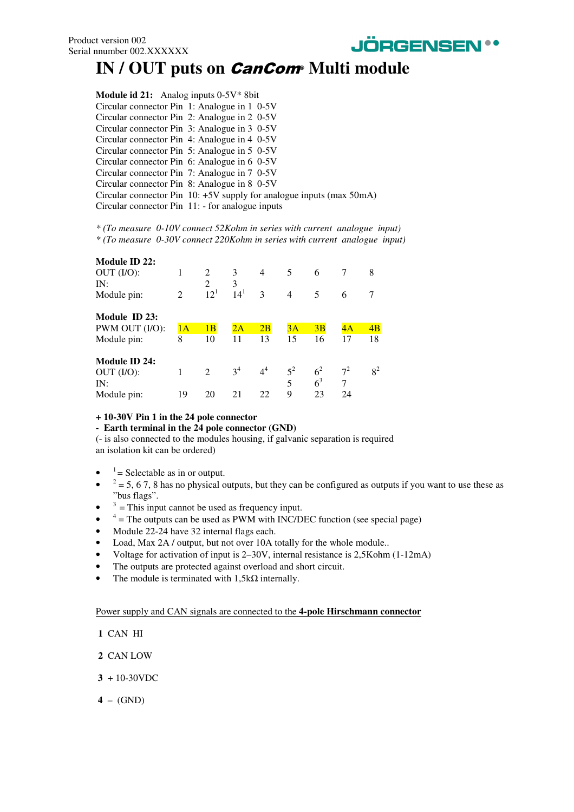

## IN / OUT puts on *CanCom* Multi module

| <b>Module id 21:</b> Analog inputs $0-5V^*$ 8bit |                                                                        |
|--------------------------------------------------|------------------------------------------------------------------------|
| Circular connector Pin 1: Analogue in 1 0-5V     |                                                                        |
| Circular connector Pin 2: Analogue in 2 0-5V     |                                                                        |
| Circular connector Pin 3: Analogue in 3 0-5V     |                                                                        |
| Circular connector Pin 4: Analogue in 4 0-5V     |                                                                        |
| Circular connector Pin 5: Analogue in 5 0-5V     |                                                                        |
| Circular connector Pin 6: Analogue in 6 0-5V     |                                                                        |
| Circular connector Pin 7: Analogue in 7 0-5V     |                                                                        |
| Circular connector Pin 8: Analogue in 8 0-5V     |                                                                        |
|                                                  | Circular connector Pin $10: +5V$ supply for analogue inputs (max 50mA) |
|                                                  | Circular connector Pin 11: - for analogue inputs                       |

*\* (To measure 0-10V connect 52Kohm in series with current analogue input) \* (To measure 0-30V connect 220Kohm in series with current analogue input)*

| Module ID 22:  |    |                |                |                |                |                |       |       |
|----------------|----|----------------|----------------|----------------|----------------|----------------|-------|-------|
| OUT (I/O):     | 1  | 2              | 3              | $\overline{4}$ | 5              | 6              | 7     | 8     |
| IN:            |    | 2              | 3              |                |                |                |       |       |
| Module pin:    | 2  | $12^{1}$       | $14^{1}$       | 3              | $\overline{4}$ | 5              | 6     |       |
| Module ID 23:  |    |                |                |                |                |                |       |       |
| PWM OUT (I/O): | 1A | 1B             | 2Α             | 2B             | 3A             | 3B             | 4A    | 4B    |
| Module pin:    | 8  | 10             | 11             | 13             | 15             | 16             | 17    | 18    |
| Module ID 24:  |    |                |                |                |                |                |       |       |
| OUT (I/O):     |    | $\mathfrak{D}$ | 3 <sup>4</sup> | $4^4$          | $5^2$          | 6 <sup>2</sup> | $7^2$ | $8^2$ |
| IN:            |    |                |                |                | 5              | 6 <sup>3</sup> | 7     |       |
| Module pin:    | 19 | 20             | 21             | 22             | 9              | 23             | 24    |       |

#### **+ 10-30V Pin 1 in the 24 pole connector**

#### **- Earth terminal in the 24 pole connector (GND)**

(- is also connected to the modules housing, if galvanic separation is required an isolation kit can be ordered)

- $1 =$  Selectable as in or output.
- $2^2$  = 5, 6 7, 8 has no physical outputs, but they can be configured as outputs if you want to use these as "bus flags".
- $3 =$ This input cannot be used as frequency input.
- $4 =$ The outputs can be used as PWM with INC/DEC function (see special page)
- Module 22-24 have 32 internal flags each.
- Load, Max 2A / output, but not over 10A totally for the whole module..
- Voltage for activation of input is 2–30V, internal resistance is 2,5Kohm (1-12mA)
- The outputs are protected against overload and short circuit.
- The module is terminated with  $1,5k\Omega$  internally.

Power supply and CAN signals are connected to the **4-pole Hirschmann connector** 

- **1** CAN HI
- **2** CAN LOW
- **3** + 10-30VDC
- **4** (GND)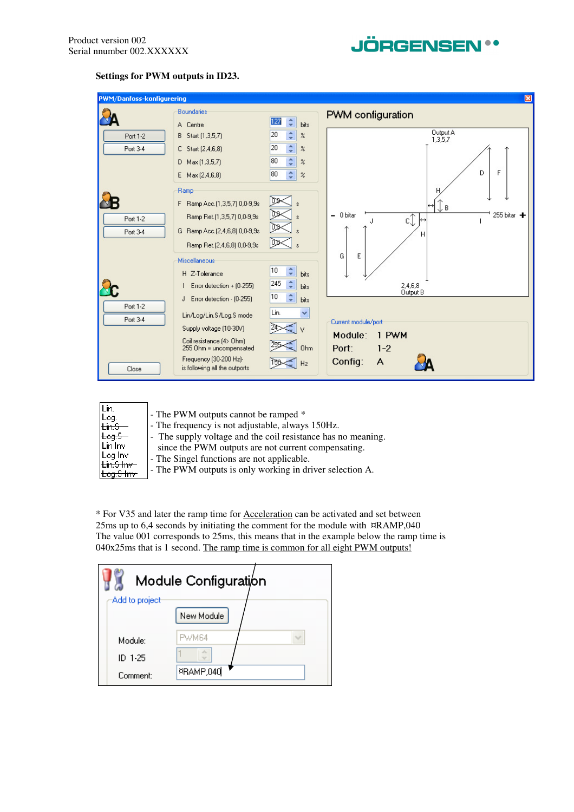

#### **Settings for PWM outputs in ID23.**



| - The supply voltage and the coil resistance has no meaning.<br>r <del>tog.S –</del><br>Lin Inv<br>since the PWM outputs are not current compensating.<br>Log Inv<br>- The Singel functions are not applicable.<br><del>Lin.S Inv</del><br>- The PWM outputs is only working in driver selection A. | Lin.<br>Log.<br><del>Lin.S</del> | - The PWM outputs cannot be ramped *<br>- The frequency is not adjustable, always 150Hz. |
|-----------------------------------------------------------------------------------------------------------------------------------------------------------------------------------------------------------------------------------------------------------------------------------------------------|----------------------------------|------------------------------------------------------------------------------------------|
|-----------------------------------------------------------------------------------------------------------------------------------------------------------------------------------------------------------------------------------------------------------------------------------------------------|----------------------------------|------------------------------------------------------------------------------------------|

\* For V35 and later the ramp time for Acceleration can be activated and set between 25ms up to 6,4 seconds by initiating the comment for the module with ¤RAMP,040 The value 001 corresponds to 25ms, this means that in the example below the ramp time is 040x25ms that is 1 second. The ramp time is common for all eight PWM outputs!

| Module Configuration |              |  |  |  |  |  |
|----------------------|--------------|--|--|--|--|--|
| Add to project       |              |  |  |  |  |  |
|                      | New Module   |  |  |  |  |  |
| Module:              | <b>PWM64</b> |  |  |  |  |  |
| ID 1-25              | de.<br>TOM P |  |  |  |  |  |
| Comment:             | ¤RAMP,040    |  |  |  |  |  |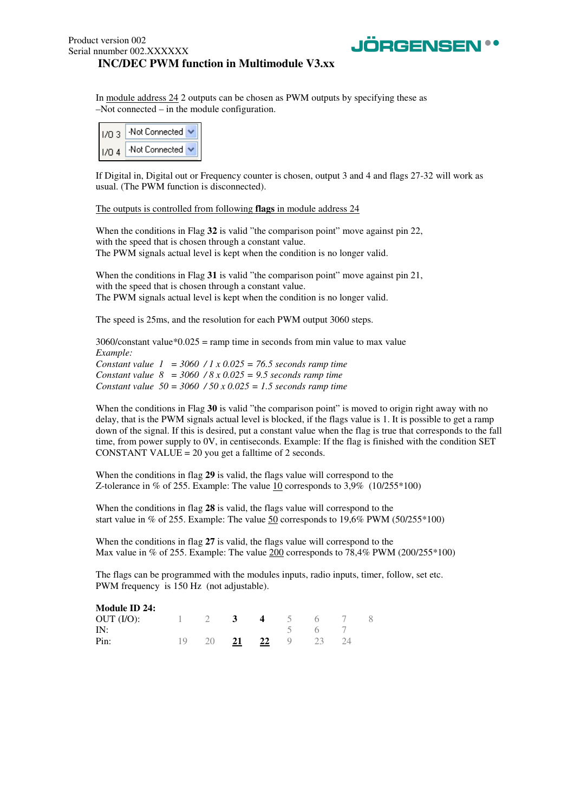

In module address 24 2 outputs can be chosen as PWM outputs by specifying these as –Not connected – in the module configuration.

| 1/03  | Not Connected  |
|-------|----------------|
| 1/0.4 | -Not Connected |

If Digital in, Digital out or Frequency counter is chosen, output 3 and 4 and flags 27-32 will work as usual. (The PWM function is disconnected).

The outputs is controlled from following **flags** in module address 24

When the conditions in Flag 32 is valid "the comparison point" move against pin 22, with the speed that is chosen through a constant value. The PWM signals actual level is kept when the condition is no longer valid.

When the conditions in Flag **31** is valid "the comparison point" move against pin 21, with the speed that is chosen through a constant value. The PWM signals actual level is kept when the condition is no longer valid.

The speed is 25ms, and the resolution for each PWM output 3060 steps.

 $3060$ /constant value\* $0.025$  = ramp time in seconds from min value to max value *Example: Constant value 1 = 3060 / 1 x 0.025 = 76.5 seconds ramp time Constant value 8 = 3060 / 8 x 0.025 = 9.5 seconds ramp time Constant value 50 = 3060 / 50 x 0.025 = 1.5 seconds ramp time* 

When the conditions in Flag 30 is valid "the comparison point" is moved to origin right away with no delay, that is the PWM signals actual level is blocked, if the flags value is 1. It is possible to get a ramp down of the signal. If this is desired, put a constant value when the flag is true that corresponds to the fall time, from power supply to 0V, in centiseconds. Example: If the flag is finished with the condition SET CONSTANT VALUE = 20 you get a falltime of 2 seconds.

When the conditions in flag **29** is valid, the flags value will correspond to the Z-tolerance in % of 255. Example: The value  $10$  corresponds to 3,9% (10/255\*100)

When the conditions in flag **28** is valid, the flags value will correspond to the start value in % of 255. Example: The value  $50$  corresponds to 19,6% PWM (50/255\*100)

When the conditions in flag **27** is valid, the flags value will correspond to the Max value in % of 255. Example: The value 200 corresponds to 78,4% PWM (200/255\*100)

The flags can be programmed with the modules inputs, radio inputs, timer, follow, set etc. PWM frequency is 150 Hz (not adjustable).

| Module ID 24: |     |                |                            |          |      |                |  |
|---------------|-----|----------------|----------------------------|----------|------|----------------|--|
| OUT (I/O):    |     | $\overline{2}$ | $\overline{\phantom{a}}$ 3 | $\sim$ 4 | $-5$ | 6 <sup>6</sup> |  |
| IN:           |     |                |                            |          |      | 6 <sup>h</sup> |  |
| Pin:          | 19. | 20 21          |                            | 22 9     |      | 23             |  |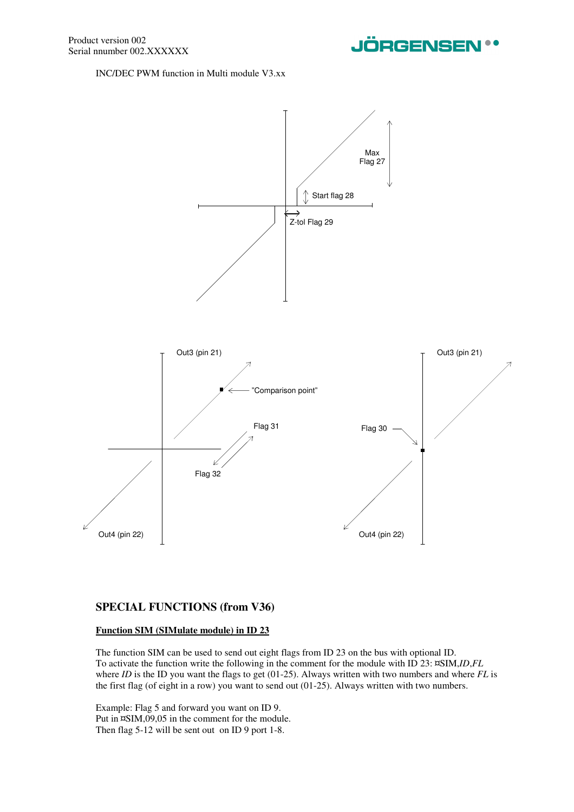

INC/DEC PWM function in Multi module V3.xx



#### **SPECIAL FUNCTIONS (from V36)**

#### **Function SIM (SIMulate module) in ID 23**

The function SIM can be used to send out eight flags from ID 23 on the bus with optional ID. To activate the function write the following in the comment for the module with ID 23: ¤SIM,*ID*,*FL* where *ID* is the ID you want the flags to get (01-25). Always written with two numbers and where *FL* is the first flag (of eight in a row) you want to send out (01-25). Always written with two numbers.

Example: Flag 5 and forward you want on ID 9. Put in ¤SIM,09,05 in the comment for the module. Then flag 5-12 will be sent out on ID 9 port 1-8.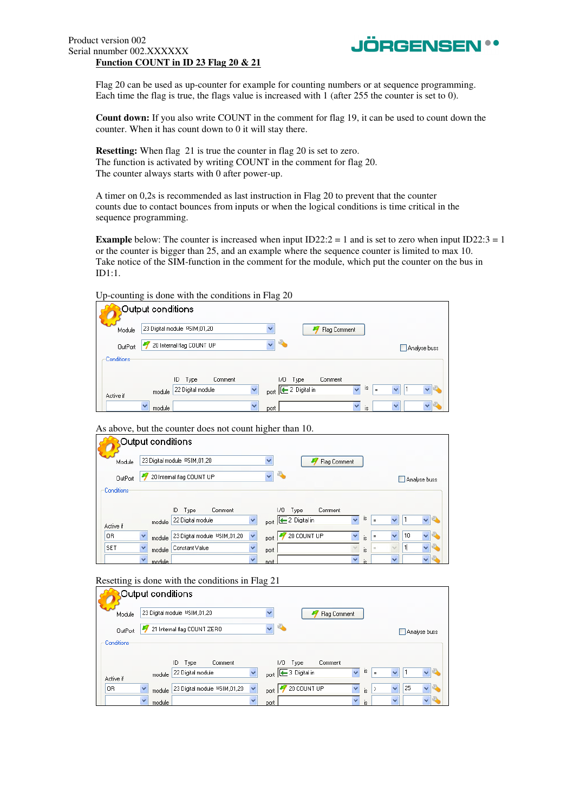#### Product version 002 Serial nnumber 002.XXXXXX **Function COUNT in ID 23 Flag 20 & 21**



Flag 20 can be used as up-counter for example for counting numbers or at sequence programming. Each time the flag is true, the flags value is increased with 1 (after 255 the counter is set to 0).

**Count down:** If you also write COUNT in the comment for flag 19, it can be used to count down the counter. When it has count down to 0 it will stay there.

**Resetting:** When flag 21 is true the counter in flag 20 is set to zero. The function is activated by writing COUNT in the comment for flag 20. The counter always starts with 0 after power-up.

A timer on 0,2s is recommended as last instruction in Flag 20 to prevent that the counter counts due to contact bounces from inputs or when the logical conditions is time critical in the sequence programming.

**Example** below: The counter is increased when input  $ID22:2 = 1$  and is set to zero when input  $ID22:3 = 1$ or the counter is bigger than 25, and an example where the sequence counter is limited to max 10. Take notice of the SIM-function in the comment for the module, which put the counter on the bus in ID1:1.

Up-counting is done with the conditions in Flag 20

|            | Output conditions                                                                                                                             |                                                 |
|------------|-----------------------------------------------------------------------------------------------------------------------------------------------|-------------------------------------------------|
| Module     | $\checkmark$<br>23 Digital module RSIM, 01, 20<br>Flag Comment                                                                                |                                                 |
| OutPort    | $\checkmark$<br>¢.<br>20 Internal flag COUNT UP                                                                                               | Analyse buss                                    |
| Conditions |                                                                                                                                               |                                                 |
| Active if  | ID<br>170.<br>Comment<br>Comment<br>Type<br>Type<br>$\checkmark$<br>port <b>E</b> 2 Digital in<br>22 Digital module<br>$\checkmark$<br>module | IS.<br>$\checkmark$<br>e<br>$\checkmark$<br>$=$ |
|            | $\checkmark$<br>$\overline{\mathbf{v}}$<br>$\checkmark$<br>module<br>port                                                                     | $\overline{\mathbf{v}}$<br>v<br>is              |

As above, but the counter does not count higher than 10.

|                | Output conditions      |                                |              |                                                                                  |
|----------------|------------------------|--------------------------------|--------------|----------------------------------------------------------------------------------|
| Module         |                        | 23 Digital module PSIM, 01, 20 |              | $\checkmark$<br>Flag Comment                                                     |
| <b>OutPort</b> |                        | 20 Internal flag COUNT UP      |              | ĸ,<br>v<br>Analyse buss                                                          |
| Conditions     |                        |                                |              |                                                                                  |
|                |                        | ID.<br>Comment<br>Type         |              | I/O<br>Comment<br>Type                                                           |
| Active if      | module                 | 22 Digital module              | $\checkmark$ | I\$<br>$\ddotmark$<br>port <sup>2</sup> Digital in<br>$=$                        |
| 0R             | v<br>module            | 23 Digital module \$SIM,01,20  | $\checkmark$ | 20 COUNT UP<br>10<br>v<br>$\checkmark$<br>$\checkmark$<br>$\equiv$<br>is<br>port |
| <b>SET</b>     | module                 | Constant Value                 | v            | 1<br>$\checkmark$<br>$\equiv$<br>is<br>port                                      |
|                | $\checkmark$<br>module |                                | $\checkmark$ | $\vee$<br>$\checkmark$<br>is<br>port                                             |

Resetting is done with the conditions in Flag 21

|            | Output conditions                                                                               |                                     |
|------------|-------------------------------------------------------------------------------------------------|-------------------------------------|
| Module     | 23 Digital module RSIM, 01, 20<br>$\checkmark$                                                  | Flag Comment                        |
| OutPort    | 21 Internal flag COUNT ZERO<br>$\checkmark$                                                     | Analyse buss                        |
| Conditions |                                                                                                 |                                     |
|            | 170.<br>Comment<br>ID<br>Type<br>Type                                                           | Comment                             |
| Active if  | port <sup>3</sup> Digital in<br>$\checkmark$<br>22 Digital module<br>module                     | is<br>$\checkmark$<br>v<br>$=$      |
| 0R         | 20 COUNT UP<br>$\checkmark$<br>$\checkmark$<br>23 Digital module \$SIM,01,20<br>module<br>port. | 25<br>v<br>v<br>$\rightarrow$<br>is |
|            | $\checkmark$<br>w<br>module<br>port                                                             | $\checkmark$<br>v<br>is             |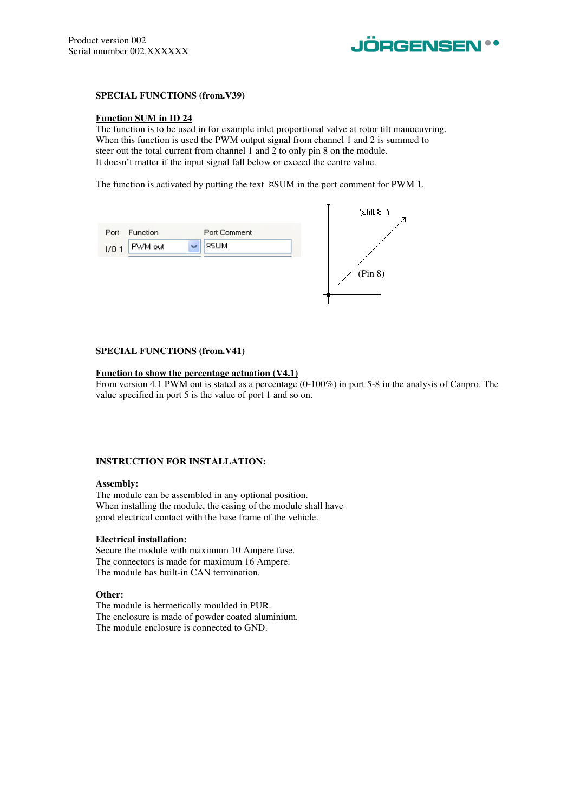

#### **SPECIAL FUNCTIONS (from.V39)**

#### **Function SUM in ID 24**

The function is to be used in for example inlet proportional valve at rotor tilt manoeuvring. When this function is used the PWM output signal from channel 1 and 2 is summed to steer out the total current from channel 1 and 2 to only pin 8 on the module. It doesn't matter if the input signal fall below or exceed the centre value.

The function is activated by putting the text ¤SUM in the port comment for PWM 1.

|                       |              | (stift 8) |
|-----------------------|--------------|-----------|
| Port<br>Function      | Port Comment |           |
| PWM out<br>w<br>1/0.1 | <b>¤SUM</b>  |           |
|                       |              |           |
|                       |              | (Pin 8)   |
|                       |              |           |
|                       |              |           |

#### **SPECIAL FUNCTIONS (from.V41)**

#### **Function to show the percentage actuation (V4.1)**

From version 4.1 PWM out is stated as a percentage (0-100%) in port 5-8 in the analysis of Canpro. The value specified in port 5 is the value of port 1 and so on.

#### **INSTRUCTION FOR INSTALLATION:**

#### **Assembly:**

The module can be assembled in any optional position. When installing the module, the casing of the module shall have good electrical contact with the base frame of the vehicle.

#### **Electrical installation:**

Secure the module with maximum 10 Ampere fuse. The connectors is made for maximum 16 Ampere. The module has built-in CAN termination.

#### **Other:**

The module is hermetically moulded in PUR. The enclosure is made of powder coated aluminium. The module enclosure is connected to GND.